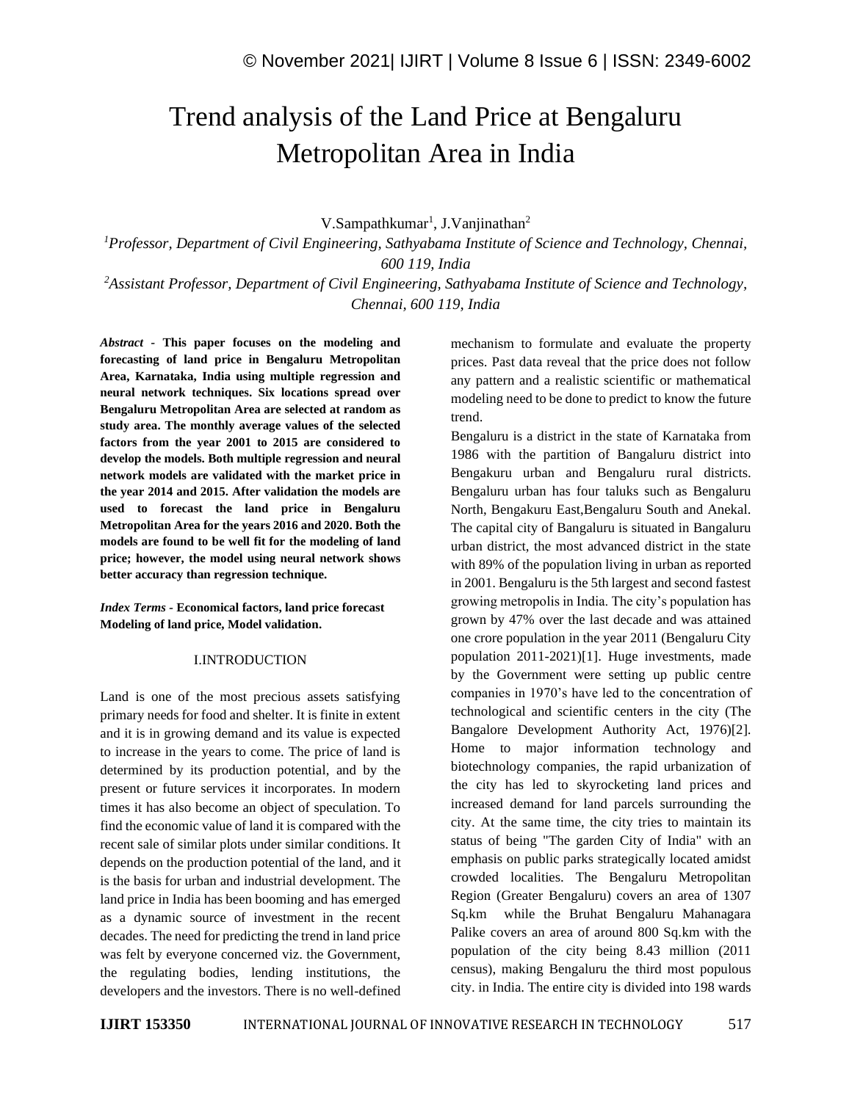# Trend analysis of the Land Price at Bengaluru Metropolitan Area in India

V.Sampathkumar<sup>1</sup>, J.Vanjinathan<sup>2</sup>

*<sup>1</sup>Professor, Department of Civil Engineering, Sathyabama Institute of Science and Technology, Chennai, 600 119, India*

*<sup>2</sup>Assistant Professor, Department of Civil Engineering, Sathyabama Institute of Science and Technology, Chennai, 600 119, India*

*Abstract -* **This paper focuses on the modeling and forecasting of land price in Bengaluru Metropolitan Area, Karnataka, India using multiple regression and neural network techniques. Six locations spread over Bengaluru Metropolitan Area are selected at random as study area. The monthly average values of the selected factors from the year 2001 to 2015 are considered to develop the models. Both multiple regression and neural network models are validated with the market price in the year 2014 and 2015. After validation the models are used to forecast the land price in Bengaluru Metropolitan Area for the years 2016 and 2020. Both the models are found to be well fit for the modeling of land price; however, the model using neural network shows better accuracy than regression technique.** 

*Index Terms -* **Economical factors, land price forecast Modeling of land price, Model validation.**

## I.INTRODUCTION

Land is one of the most precious assets satisfying primary needs for food and shelter. It is finite in extent and it is in growing demand and its value is expected to increase in the years to come. The price of land is determined by its production potential, and by the present or future services it incorporates. In modern times it has also become an object of speculation. To find the economic value of land it is compared with the recent sale of similar plots under similar conditions. It depends on the production potential of the land, and it is the basis for urban and industrial development. The land price in India has been booming and has emerged as a dynamic source of investment in the recent decades. The need for predicting the trend in land price was felt by everyone concerned viz. the Government, the regulating bodies, lending institutions, the developers and the investors. There is no well-defined mechanism to formulate and evaluate the property prices. Past data reveal that the price does not follow any pattern and a realistic scientific or mathematical modeling need to be done to predict to know the future trend.

Bengaluru is a district in the state of Karnataka from 1986 with the partition of Bangaluru district into Bengakuru urban and Bengaluru rural districts. Bengaluru urban has four taluks such as Bengaluru North, Bengakuru East,Bengaluru South and Anekal. The capital city of Bangaluru is situated in Bangaluru urban district, the most advanced district in the state with 89% of the population living in urban as reported in 2001. Bengaluru is the 5th largest and second fastest growing metropolis in India. The city's population has grown by 47% over the last decade and was attained one crore population in the year 2011 (Bengaluru City population 2011-2021)[1]. Huge investments, made by the Government were setting up public centre companies in 1970's have led to the concentration of technological and scientific centers in the city (The Bangalore Development Authority Act, 1976)[2]. Home to major information technology and biotechnology companies, the rapid urbanization of the city has led to skyrocketing land prices and increased demand for land parcels surrounding the city. At the same time, the city tries to maintain its status of being "The garden City of India" with an emphasis on public parks strategically located amidst crowded localities. The Bengaluru Metropolitan Region (Greater Bengaluru) covers an area of 1307 Sq.km while the Bruhat Bengaluru Mahanagara Palike covers an area of around 800 Sq.km with the population of the city being 8.43 million (2011 census), making Bengaluru the third most populous city. in India. The entire city is divided into 198 wards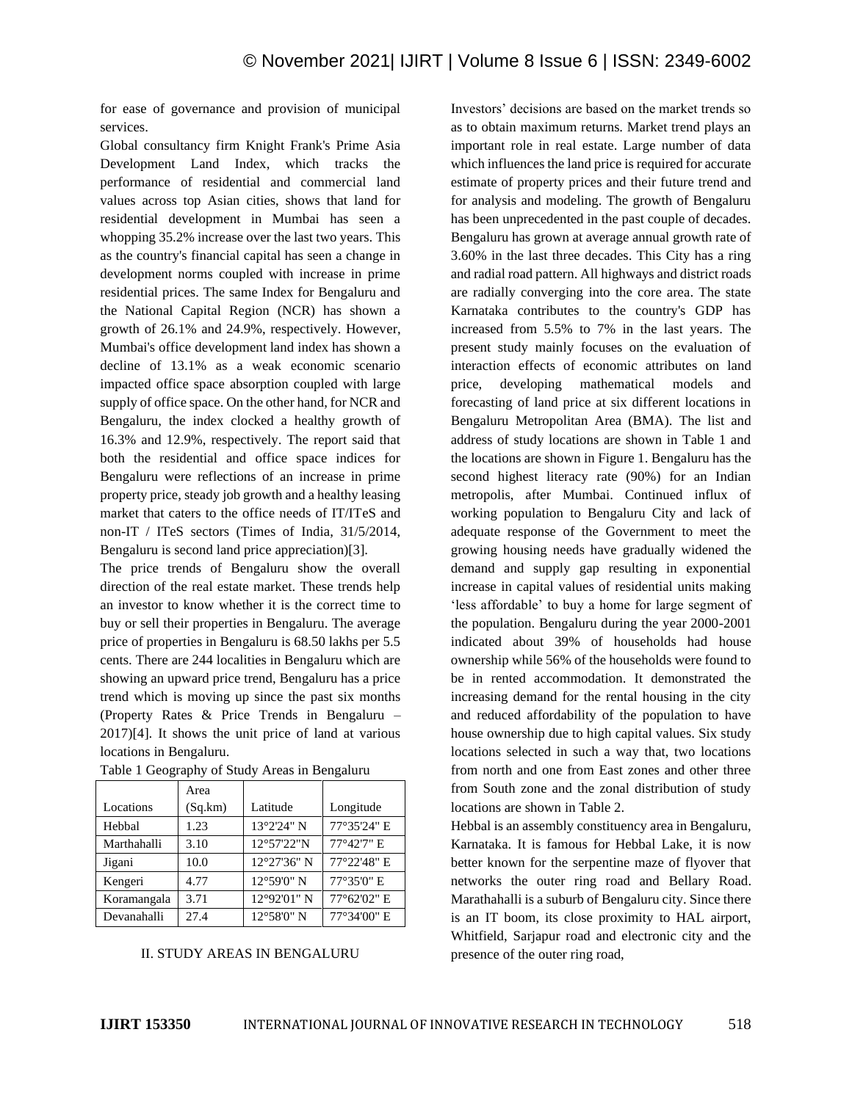for ease of governance and provision of municipal services.

Global consultancy firm Knight Frank's Prime Asia Development Land Index, which tracks the performance of residential and commercial land values across top Asian cities, shows that land for residential development in Mumbai has seen a whopping 35.2% increase over the last two years. This as the country's financial capital has seen a change in development norms coupled with increase in prime residential prices. The same Index for Bengaluru and the National Capital Region (NCR) has shown a growth of 26.1% and 24.9%, respectively. However, Mumbai's office development land index has shown a decline of 13.1% as a weak economic scenario impacted office space absorption coupled with large supply of office space. On the other hand, for NCR and Bengaluru, the index clocked a healthy growth of 16.3% and 12.9%, respectively. The report said that both the residential and office space indices for Bengaluru were reflections of an increase in prime property price, steady job growth and a healthy leasing market that caters to the office needs of IT/ITeS and non-IT / ITeS sectors (Times of India, 31/5/2014, Bengaluru is second land price appreciation)[3].

The price trends of Bengaluru show the overall direction of the real estate market. These trends help an investor to know whether it is the correct time to buy or sell their properties in Bengaluru. The average price of properties in Bengaluru is 68.50 lakhs per 5.5 cents. There are 244 localities in Bengaluru which are showing an upward price trend, Bengaluru has a price trend which is moving up since the past six months (Property Rates & Price Trends in Bengaluru – 2017)[4]. It shows the unit price of land at various locations in Bengaluru.

|             | Area    |             |             |
|-------------|---------|-------------|-------------|
| Locations   | (Sq.km) | Latitude    | Longitude   |
| Hebbal      | 1.23    | 13°2'24" N  | 77°35'24" E |
| Marthahalli | 3.10    | 12°57'22"N  | 77°42'7" E  |
| Jigani      | 10.0    | 12°27'36" N | 77°22'48" E |
| Kengeri     | 4.77    | 12°59'0" N  | 77°35'0" E  |
| Koramangala | 3.71    | 12°92'01" N | 77°62'02" E |
| Devanahalli | 27.4    | 12°58'0" N  | 77°34'00" E |

| Table 1 Geography of Study Areas in Bengaluru |  |  |
|-----------------------------------------------|--|--|
|                                               |  |  |

## II. STUDY AREAS IN BENGALURU

Investors' decisions are based on the market trends so as to obtain maximum returns. Market trend plays an important role in real estate. Large number of data which influences the land price is required for accurate estimate of property prices and their future trend and for analysis and modeling. The growth of Bengaluru has been unprecedented in the past couple of decades. Bengaluru has grown at average annual growth rate of 3.60% in the last three decades. This City has a ring and radial road pattern. All highways and district roads are radially converging into the core area. The state Karnataka contributes to the country's GDP has increased from 5.5% to 7% in the last years. The present study mainly focuses on the evaluation of interaction effects of economic attributes on land price, developing mathematical models and forecasting of land price at six different locations in Bengaluru Metropolitan Area (BMA). The list and address of study locations are shown in Table 1 and the locations are shown in Figure 1. Bengaluru has the second highest literacy rate (90%) for an Indian metropolis, after Mumbai. Continued influx of working population to Bengaluru City and lack of adequate response of the Government to meet the growing housing needs have gradually widened the demand and supply gap resulting in exponential increase in capital values of residential units making 'less affordable' to buy a home for large segment of the population. Bengaluru during the year 2000-2001 indicated about 39% of households had house ownership while 56% of the households were found to be in rented accommodation. It demonstrated the increasing demand for the rental housing in the city and reduced affordability of the population to have house ownership due to high capital values. Six study locations selected in such a way that, two locations from north and one from East zones and other three from South zone and the zonal distribution of study locations are shown in Table 2.

Hebbal is an assembly constituency area in Bengaluru, Karnataka. It is famous for Hebbal Lake, it is now better known for the serpentine maze of flyover that networks the outer ring road and Bellary Road. Marathahalli is a suburb of Bengaluru city. Since there is an IT boom, its close proximity to HAL airport, Whitfield, Sarjapur road and electronic city and the presence of the outer ring road,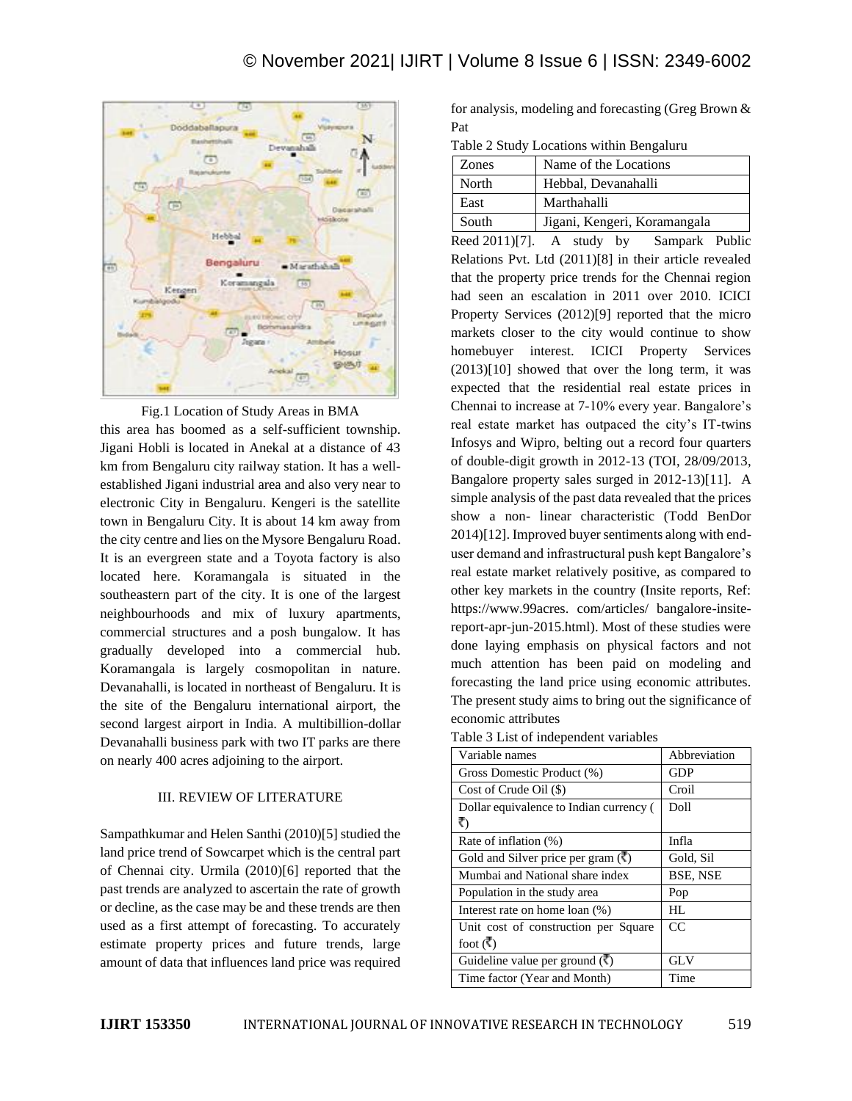

Fig.1 Location of Study Areas in BMA this area has boomed as a self-sufficient township. Jigani Hobli is located in Anekal at a distance of 43 km from Bengaluru city railway station. It has a wellestablished Jigani industrial area and also very near to electronic City in Bengaluru. Kengeri is the satellite town in Bengaluru City. It is about 14 km away from the city centre and lies on the Mysore Bengaluru Road. It is an evergreen state and a Toyota factory is also located here. Koramangala is situated in the southeastern part of the city. It is one of the largest neighbourhoods and mix of luxury apartments, commercial structures and a posh bungalow. It has gradually developed into a commercial hub. Koramangala is largely cosmopolitan in nature. Devanahalli, is located in northeast of Bengaluru. It is the site of the Bengaluru international airport, the second largest airport in India. A multibillion-dollar Devanahalli business park with two IT parks are there on nearly 400 acres adjoining to the airport.

# III. REVIEW OF LITERATURE

Sampathkumar and Helen Santhi (2010)[5] studied the land price trend of Sowcarpet which is the central part of Chennai city. Urmila (2010)[6] reported that the past trends are analyzed to ascertain the rate of growth or decline, as the case may be and these trends are then used as a first attempt of forecasting. To accurately estimate property prices and future trends, large amount of data that influences land price was required for analysis, modeling and forecasting (Greg Brown & Pat

Table 2 Study Locations within Bengaluru

|       | Zones | Name of the Locations        |
|-------|-------|------------------------------|
|       | North | Hebbal, Devanahalli          |
|       | East  | Marthahalli                  |
| South |       | Jigani, Kengeri, Koramangala |

Reed 2011)[7]. A study by Sampark Public Relations Pvt. Ltd (2011)[8] in their article revealed that the property price trends for the Chennai region had seen an escalation in 2011 over 2010. ICICI Property Services (2012)[9] reported that the micro markets closer to the city would continue to show homebuyer interest. ICICI Property Services (2013)[10] showed that over the long term, it was expected that the residential real estate prices in Chennai to increase at 7-10% every year. Bangalore's real estate market has outpaced the city's IT-twins Infosys and Wipro, belting out a record four quarters of double-digit growth in 2012-13 (TOI, 28/09/2013, Bangalore property sales surged in 2012-13)[11]. A simple analysis of the past data revealed that the prices show a non- linear characteristic (Todd BenDor 2014)[12]. Improved buyer sentiments along with enduser demand and infrastructural push kept Bangalore's real estate market relatively positive, as compared to other key markets in the country (Insite reports, Ref: https://www.99acres. com/articles/ bangalore-insitereport-apr-jun-2015.html). Most of these studies were done laying emphasis on physical factors and not much attention has been paid on modeling and forecasting the land price using economic attributes. The present study aims to bring out the significance of economic attributes

Table 3 List of independent variables

| Variable names                                      | Abbreviation |
|-----------------------------------------------------|--------------|
| Gross Domestic Product (%)                          | GDP          |
| Cost of Crude Oil $(\$)$                            | Croil        |
| Dollar equivalence to Indian currency (             | Doll         |
| ₹)                                                  |              |
| Rate of inflation (%)                               | Infla        |
| Gold and Silver price per gram $(\overline{\zeta})$ | Gold, Sil    |
| Mumbai and National share index                     | BSE, NSE     |
| Population in the study area                        | Pop          |
| Interest rate on home loan (%)                      | HL.          |
| Unit cost of construction per Square                | CC           |
| foot $(\vec{\mathbf{r}})$                           |              |
| Guideline value per ground $(\vec{\cdot})$          | <b>GLV</b>   |
| Time factor (Year and Month)                        | Time         |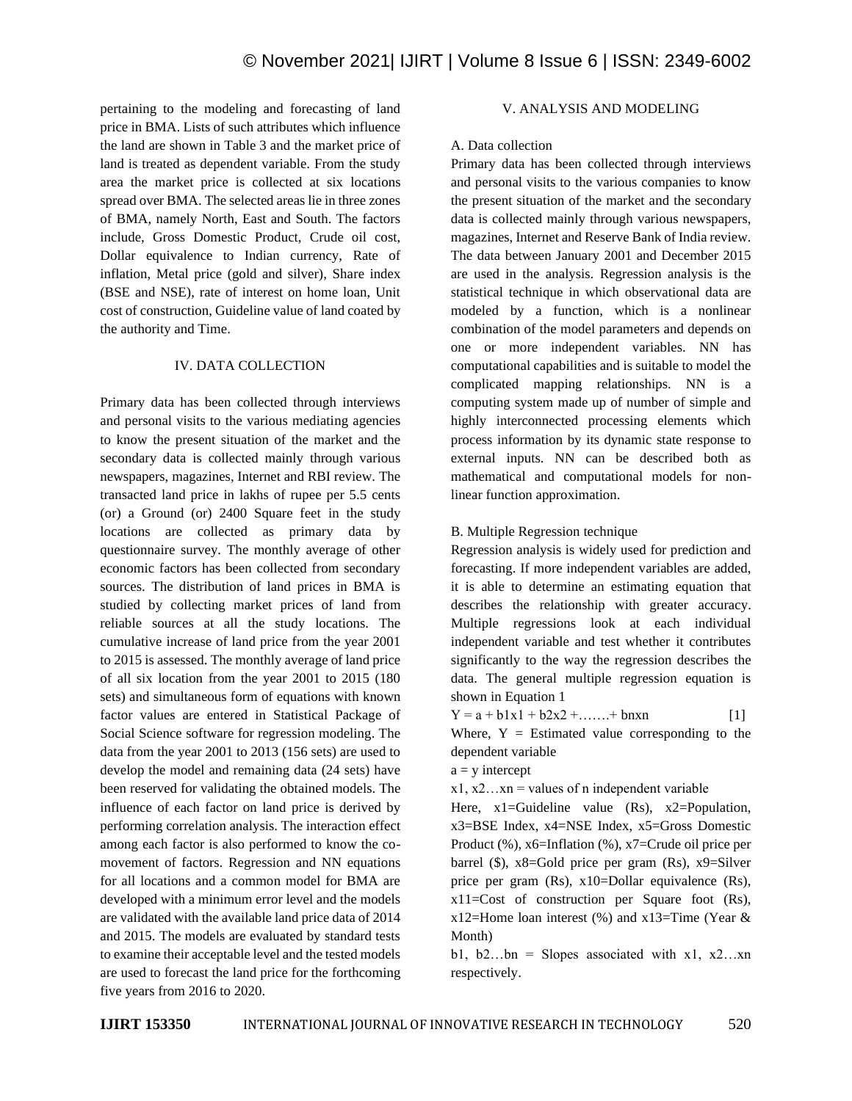pertaining to the modeling and forecasting of land price in BMA. Lists of such attributes which influence the land are shown in Table 3 and the market price of land is treated as dependent variable. From the study area the market price is collected at six locations spread over BMA. The selected areas lie in three zones of BMA, namely North, East and South. The factors include, Gross Domestic Product, Crude oil cost, Dollar equivalence to Indian currency, Rate of inflation, Metal price (gold and silver), Share index (BSE and NSE), rate of interest on home loan, Unit cost of construction, Guideline value of land coated by the authority and Time.

## IV. DATA COLLECTION

Primary data has been collected through interviews and personal visits to the various mediating agencies to know the present situation of the market and the secondary data is collected mainly through various newspapers, magazines, Internet and RBI review. The transacted land price in lakhs of rupee per 5.5 cents (or) a Ground (or) 2400 Square feet in the study locations are collected as primary data by questionnaire survey. The monthly average of other economic factors has been collected from secondary sources. The distribution of land prices in BMA is studied by collecting market prices of land from reliable sources at all the study locations. The cumulative increase of land price from the year 2001 to 2015 is assessed. The monthly average of land price of all six location from the year 2001 to 2015 (180 sets) and simultaneous form of equations with known factor values are entered in Statistical Package of Social Science software for regression modeling. The data from the year 2001 to 2013 (156 sets) are used to develop the model and remaining data (24 sets) have been reserved for validating the obtained models. The influence of each factor on land price is derived by performing correlation analysis. The interaction effect among each factor is also performed to know the comovement of factors. Regression and NN equations for all locations and a common model for BMA are developed with a minimum error level and the models are validated with the available land price data of 2014 and 2015. The models are evaluated by standard tests to examine their acceptable level and the tested models are used to forecast the land price for the forthcoming five years from 2016 to 2020.

# V. ANALYSIS AND MODELING

# A. Data collection

Primary data has been collected through interviews and personal visits to the various companies to know the present situation of the market and the secondary data is collected mainly through various newspapers, magazines, Internet and Reserve Bank of India review. The data between January 2001 and December 2015 are used in the analysis. Regression analysis is the statistical technique in which observational data are modeled by a function, which is a nonlinear combination of the model parameters and depends on one or more independent variables. NN has computational capabilities and is suitable to model the complicated mapping relationships. NN is a computing system made up of number of simple and highly interconnected processing elements which process information by its dynamic state response to external inputs. NN can be described both as mathematical and computational models for nonlinear function approximation.

# B. Multiple Regression technique

Regression analysis is widely used for prediction and forecasting. If more independent variables are added, it is able to determine an estimating equation that describes the relationship with greater accuracy. Multiple regressions look at each individual independent variable and test whether it contributes significantly to the way the regression describes the data. The general multiple regression equation is shown in Equation 1

 $Y = a + b1x1 + b2x2 + \dots + bnxn$  [1] Where,  $Y =$  Estimated value corresponding to the dependent variable

- $a = v$  intercept
- $x1, x2...xn$  = values of n independent variable
- Here, x1=Guideline value (Rs), x2=Population, x3=BSE Index, x4=NSE Index, x5=Gross Domestic Product (%), x6=Inflation (%), x7=Crude oil price per barrel (\$),  $x8 =$ Gold price per gram (Rs),  $x9 =$ Silver price per gram (Rs), x10=Dollar equivalence (Rs), x11=Cost of construction per Square foot (Rs),  $x12$ =Home loan interest (%) and  $x13$ =Time (Year & Month)

b1, b2...bn = Slopes associated with  $x1$ ,  $x2...xn$ respectively.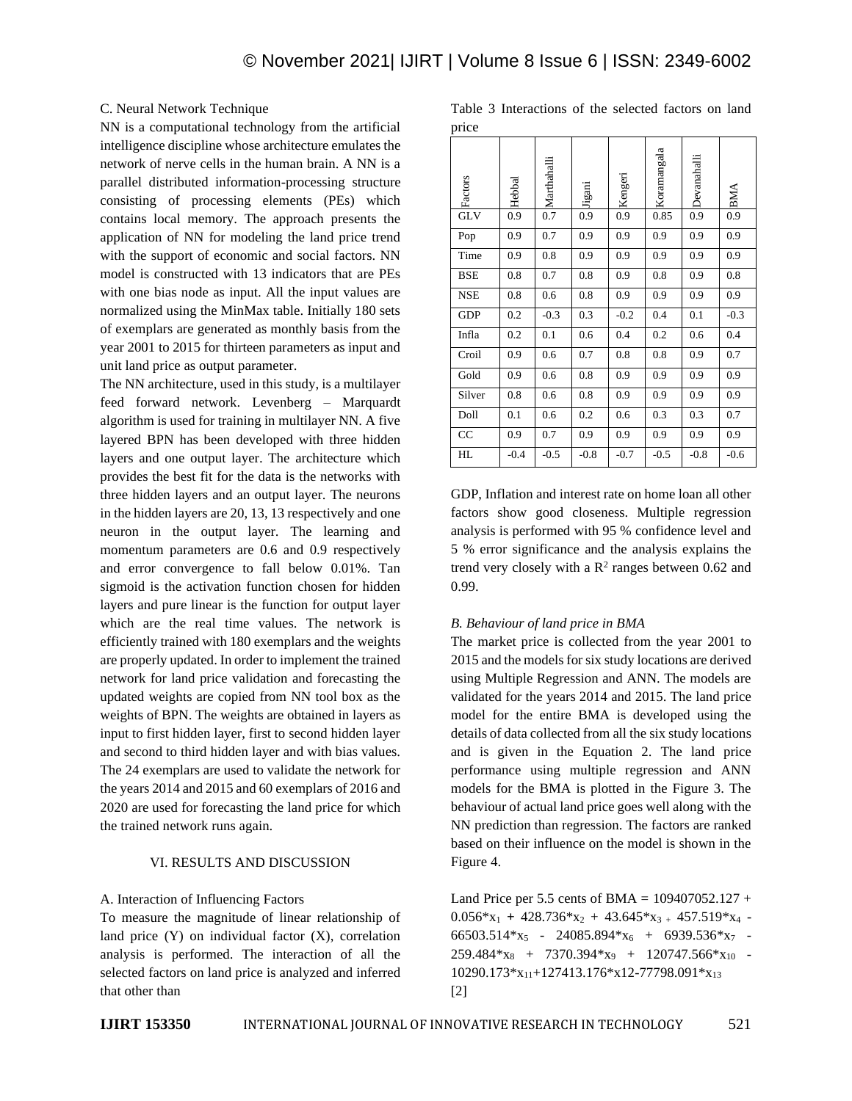## C. Neural Network Technique

NN is a computational technology from the artificial intelligence discipline whose architecture emulates the network of nerve cells in the human brain. A NN is a parallel distributed information-processing structure consisting of processing elements (PEs) which contains local memory. The approach presents the application of NN for modeling the land price trend with the support of economic and social factors. NN model is constructed with 13 indicators that are PEs with one bias node as input. All the input values are normalized using the MinMax table. Initially 180 sets of exemplars are generated as monthly basis from the year 2001 to 2015 for thirteen parameters as input and unit land price as output parameter.

The NN architecture, used in this study, is a multilayer feed forward network. Levenberg – Marquardt algorithm is used for training in multilayer NN. A five layered BPN has been developed with three hidden layers and one output layer. The architecture which provides the best fit for the data is the networks with three hidden layers and an output layer. The neurons in the hidden layers are 20, 13, 13 respectively and one neuron in the output layer. The learning and momentum parameters are 0.6 and 0.9 respectively and error convergence to fall below 0.01%. Tan sigmoid is the activation function chosen for hidden layers and pure linear is the function for output layer which are the real time values. The network is efficiently trained with 180 exemplars and the weights are properly updated. In order to implement the trained network for land price validation and forecasting the updated weights are copied from NN tool box as the weights of BPN. The weights are obtained in layers as input to first hidden layer, first to second hidden layer and second to third hidden layer and with bias values. The 24 exemplars are used to validate the network for the years 2014 and 2015 and 60 exemplars of 2016 and 2020 are used for forecasting the land price for which the trained network runs again.

## VI. RESULTS AND DISCUSSION

## A. Interaction of Influencing Factors

To measure the magnitude of linear relationship of land price  $(Y)$  on individual factor  $(X)$ , correlation analysis is performed. The interaction of all the selected factors on land price is analyzed and inferred that other than

Table 3 Interactions of the selected factors on land price

| r.         |        |             |        |         |             |                    |            |
|------------|--------|-------------|--------|---------|-------------|--------------------|------------|
| Factors    | Hebbal | Marthahalli | Jigani | Kengeri | Koramangala | <b>Devanahalli</b> | <b>BMA</b> |
| <b>GLV</b> | 0.9    | 0.7         | 0.9    | 0.9     | 0.85        | 0.9                | 0.9        |
| Pop        | 0.9    | 0.7         | 0.9    | 0.9     | 0.9         | 0.9                | 0.9        |
| Time       | 0.9    | 0.8         | 0.9    | 0.9     | 0.9         | 0.9                | 0.9        |
| <b>BSE</b> | 0.8    | 0.7         | 0.8    | 0.9     | 0.8         | 0.9                | 0.8        |
| <b>NSE</b> | 0.8    | 0.6         | 0.8    | 0.9     | 0.9         | 0.9                | 0.9        |
| <b>GDP</b> | 0.2    | $-0.3$      | 0.3    | $-0.2$  | 0.4         | 0.1                | $-0.3$     |
| Infla      | 0.2    | 0.1         | 0.6    | 0.4     | 0.2         | 0.6                | 0.4        |
| Croil      | 0.9    | 0.6         | 0.7    | 0.8     | 0.8         | 0.9                | 0.7        |
| Gold       | 0.9    | 0.6         | 0.8    | 0.9     | 0.9         | 0.9                | 0.9        |
| Silver     | 0.8    | 0.6         | 0.8    | 0.9     | 0.9         | 0.9                | 0.9        |
| Doll       | 0.1    | 0.6         | 0.2    | 0.6     | 0.3         | 0.3                | 0.7        |
| CC         | 0.9    | 0.7         | 0.9    | 0.9     | 0.9         | 0.9                | 0.9        |
| HL         | $-0.4$ | $-0.5$      | $-0.8$ | $-0.7$  | $-0.5$      | $-0.8$             | $-0.6$     |

GDP, Inflation and interest rate on home loan all other factors show good closeness. Multiple regression analysis is performed with 95 % confidence level and 5 % error significance and the analysis explains the trend very closely with a  $\mathbb{R}^2$  ranges between 0.62 and 0.99.

## *B. Behaviour of land price in BMA*

The market price is collected from the year 2001 to 2015 and the models for six study locations are derived using Multiple Regression and ANN. The models are validated for the years 2014 and 2015. The land price model for the entire BMA is developed using the details of data collected from all the six study locations and is given in the Equation 2. The land price performance using multiple regression and ANN models for the BMA is plotted in the Figure 3. The behaviour of actual land price goes well along with the NN prediction than regression. The factors are ranked based on their influence on the model is shown in the Figure 4.

Land Price per 5.5 cents of BMA =  $109407052.127 +$  $0.056*x_1 + 428.736*x_2 + 43.645*x_3 + 457.519*x_4 -$ 66503.514 $x_5$  - 24085.894 $x_6$  + 6939.536 $x_7$  - $259.484*x_8 + 7370.394*x_9 + 120747.566*x_{10}$  $10290.173*x_{11}+127413.176*x12-77798.091*x_{13}$ [2]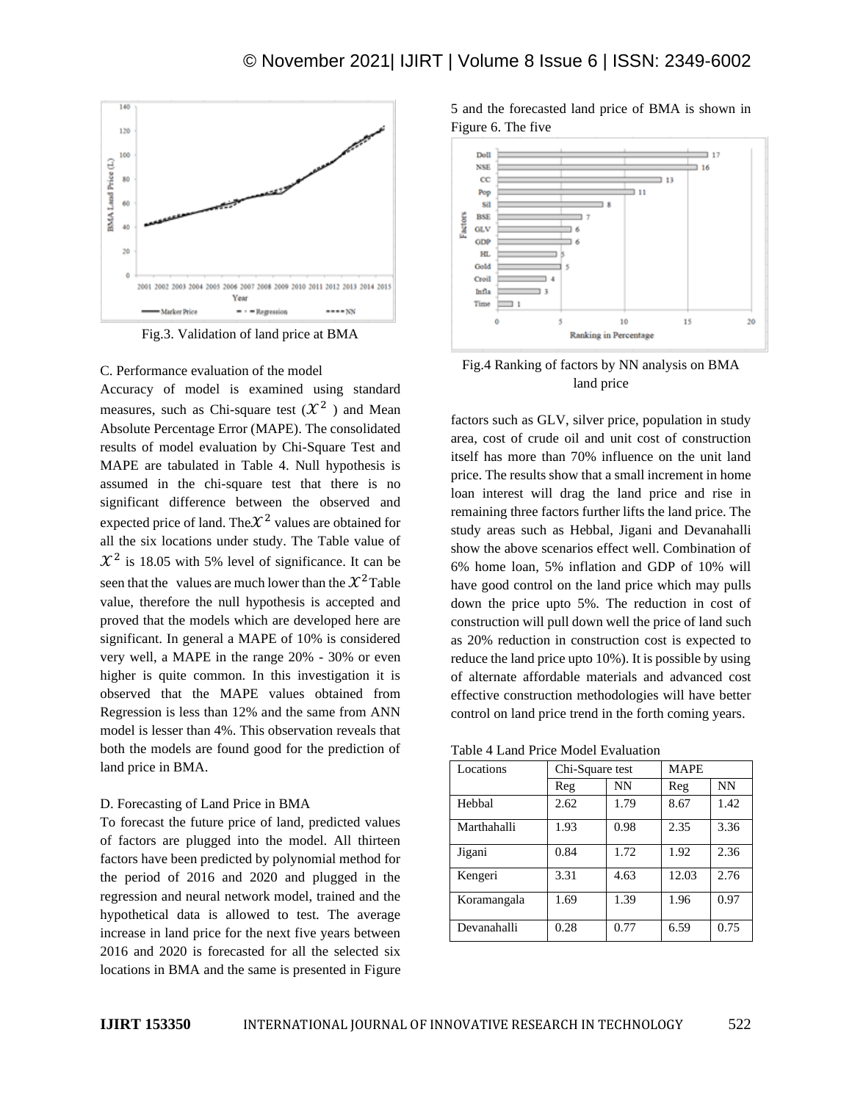

Fig.3. Validation of land price at BMA

C. Performance evaluation of the model

Accuracy of model is examined using standard measures, such as Chi-square test  $(\mathcal{X}^2)$  and Mean Absolute Percentage Error (MAPE). The consolidated results of model evaluation by Chi-Square Test and MAPE are tabulated in Table 4. Null hypothesis is assumed in the chi-square test that there is no significant difference between the observed and expected price of land. The $X^2$  values are obtained for all the six locations under study. The Table value of  $\mathcal{X}^2$  is 18.05 with 5% level of significance. It can be seen that the values are much lower than the  $\chi^2$ Table value, therefore the null hypothesis is accepted and proved that the models which are developed here are significant. In general a MAPE of 10% is considered very well, a MAPE in the range 20% - 30% or even higher is quite common. In this investigation it is observed that the MAPE values obtained from Regression is less than 12% and the same from ANN model is lesser than 4%. This observation reveals that both the models are found good for the prediction of land price in BMA.

## D. Forecasting of Land Price in BMA

To forecast the future price of land, predicted values of factors are plugged into the model. All thirteen factors have been predicted by polynomial method for the period of 2016 and 2020 and plugged in the regression and neural network model, trained and the hypothetical data is allowed to test. The average increase in land price for the next five years between 2016 and 2020 is forecasted for all the selected six locations in BMA and the same is presented in Figure

5 and the forecasted land price of BMA is shown in Figure 6. The five



# Fig.4 Ranking of factors by NN analysis on BMA land price

factors such as GLV, silver price, population in study area, cost of crude oil and unit cost of construction itself has more than 70% influence on the unit land price. The results show that a small increment in home loan interest will drag the land price and rise in remaining three factors further lifts the land price. The study areas such as Hebbal, Jigani and Devanahalli show the above scenarios effect well. Combination of 6% home loan, 5% inflation and GDP of 10% will have good control on the land price which may pulls down the price upto 5%. The reduction in cost of construction will pull down well the price of land such as 20% reduction in construction cost is expected to reduce the land price upto 10%). It is possible by using of alternate affordable materials and advanced cost effective construction methodologies will have better control on land price trend in the forth coming years.

Table 4 Land Price Model Evaluation

| Locations   | Chi-Square test |      | <b>MAPE</b> |      |  |
|-------------|-----------------|------|-------------|------|--|
|             | Reg             | NN   | Reg         | NN   |  |
| Hebbal      | 2.62            | 1.79 | 8.67        | 1.42 |  |
| Marthahalli | 1.93            | 0.98 | 2.35        | 3.36 |  |
| Jigani      | 0.84            | 1.72 | 1.92        | 2.36 |  |
| Kengeri     | 3.31            | 4.63 | 12.03       | 2.76 |  |
| Koramangala | 1.69            | 1.39 | 1.96        | 0.97 |  |
| Devanahalli | 0.28            | 0.77 | 6.59        | 0.75 |  |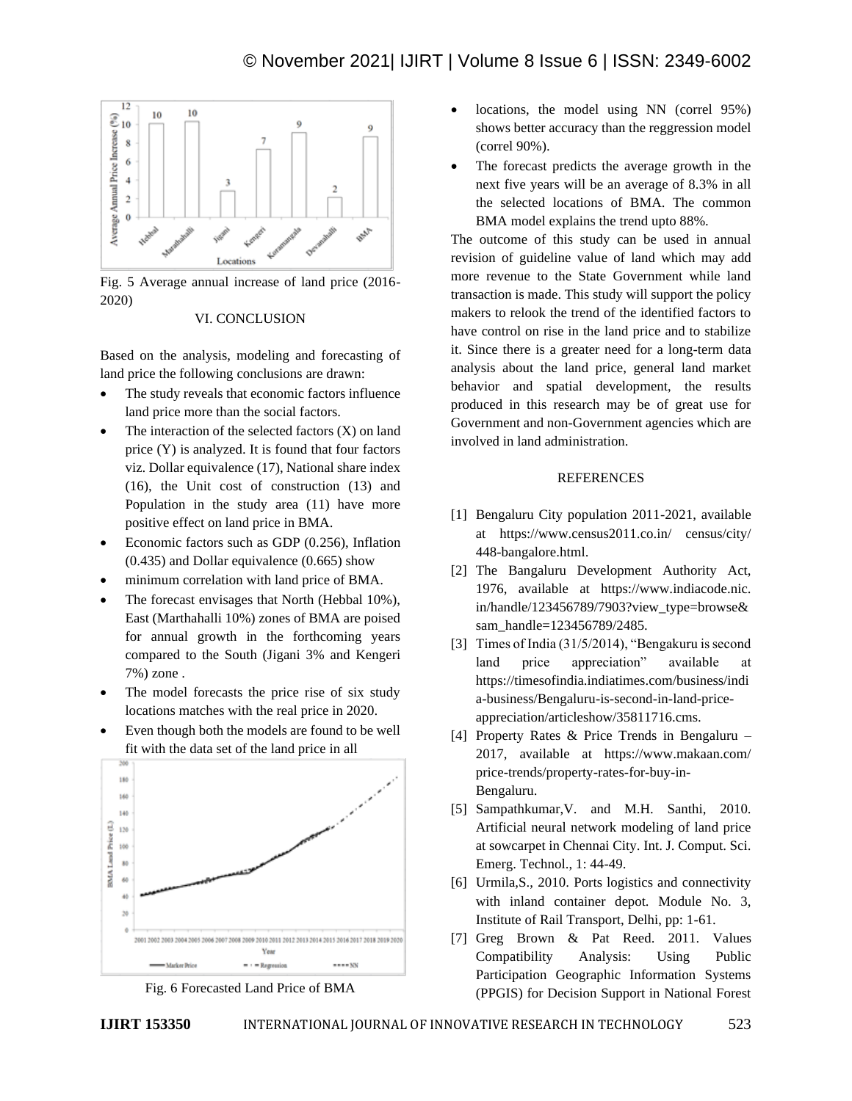

Fig. 5 Average annual increase of land price (2016- 2020)

## VI. CONCLUSION

Based on the analysis, modeling and forecasting of land price the following conclusions are drawn:

- The study reveals that economic factors influence land price more than the social factors.
- The interaction of the selected factors  $(X)$  on land price (Y) is analyzed. It is found that four factors viz. Dollar equivalence (17), National share index (16), the Unit cost of construction (13) and Population in the study area (11) have more positive effect on land price in BMA.
- Economic factors such as GDP (0.256), Inflation (0.435) and Dollar equivalence (0.665) show
- minimum correlation with land price of BMA.
- The forecast envisages that North (Hebbal 10%), East (Marthahalli 10%) zones of BMA are poised for annual growth in the forthcoming years compared to the South (Jigani 3% and Kengeri 7%) zone .
- The model forecasts the price rise of six study locations matches with the real price in 2020.
- Even though both the models are found to be well fit with the data set of the land price in all





- locations, the model using NN (correl 95%) shows better accuracy than the reggression model (correl 90%).
- The forecast predicts the average growth in the next five years will be an average of 8.3% in all the selected locations of BMA. The common BMA model explains the trend upto 88%.

The outcome of this study can be used in annual revision of guideline value of land which may add more revenue to the State Government while land transaction is made. This study will support the policy makers to relook the trend of the identified factors to have control on rise in the land price and to stabilize it. Since there is a greater need for a long-term data analysis about the land price, general land market behavior and spatial development, the results produced in this research may be of great use for Government and non-Government agencies which are involved in land administration.

## **REFERENCES**

- [1] Bengaluru City population 2011-2021, available at https://www.census2011.co.in/ census/city/ 448-bangalore.html.
- [2] The Bangaluru Development Authority Act, 1976, available at https://www.indiacode.nic. in/handle/123456789/7903?view\_type=browse& sam\_handle=123456789/2485.
- [3] Times of India (31/5/2014), "Bengakuru is second land price appreciation" available at https://timesofindia.indiatimes.com/business/indi a-business/Bengaluru-is-second-in-land-priceappreciation/articleshow/35811716.cms.
- [4] Property Rates & Price Trends in Bengaluru 2017, available at https://www.makaan.com/ price-trends/property-rates-for-buy-in-Bengaluru.
- [5] Sampathkumar,V. and M.H. Santhi, 2010. Artificial neural network modeling of land price at sowcarpet in Chennai City. Int. J. Comput. Sci. Emerg. Technol., 1: 44-49.
- [6] Urmila, S., 2010. Ports logistics and connectivity with inland container depot. Module No. 3, Institute of Rail Transport, Delhi, pp: 1-61.
- [7] Greg Brown & Pat Reed. 2011. Values Compatibility Analysis: Using Public Participation Geographic Information Systems (PPGIS) for Decision Support in National Forest